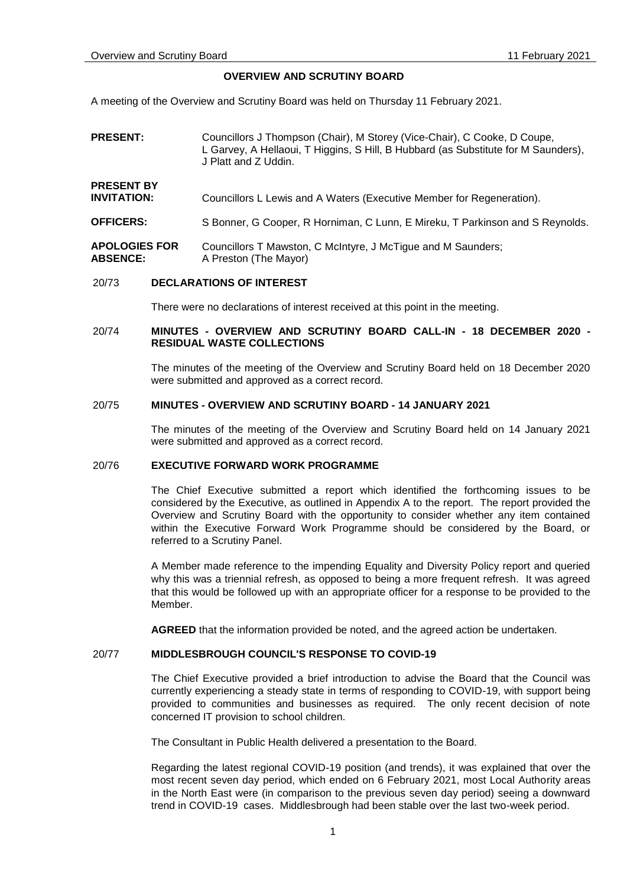**ABSENCE:**

# **OVERVIEW AND SCRUTINY BOARD**

A meeting of the Overview and Scrutiny Board was held on Thursday 11 February 2021.

| <b>PRESENT:</b>                         | Councillors J Thompson (Chair), M Storey (Vice-Chair), C Cooke, D Coupe,<br>L Garvey, A Hellaoui, T Higgins, S Hill, B Hubbard (as Substitute for M Saunders),<br>J Platt and Z Uddin. |
|-----------------------------------------|----------------------------------------------------------------------------------------------------------------------------------------------------------------------------------------|
| <b>PRESENT BY</b><br><b>INVITATION:</b> | Councillors L Lewis and A Waters (Executive Member for Regeneration).                                                                                                                  |
| <b>OFFICERS:</b>                        | S Bonner, G Cooper, R Horniman, C Lunn, E Mireku, T Parkinson and S Reynolds.                                                                                                          |
| <b>APOLOGIES FOR</b>                    | Councillors T Mawston, C McIntyre, J McTigue and M Saunders;                                                                                                                           |

#### 20/73 **DECLARATIONS OF INTEREST**

A Preston (The Mayor)

There were no declarations of interest received at this point in the meeting.

## 20/74 **MINUTES - OVERVIEW AND SCRUTINY BOARD CALL-IN - 18 DECEMBER 2020 - RESIDUAL WASTE COLLECTIONS**

The minutes of the meeting of the Overview and Scrutiny Board held on 18 December 2020 were submitted and approved as a correct record.

#### 20/75 **MINUTES - OVERVIEW AND SCRUTINY BOARD - 14 JANUARY 2021**

The minutes of the meeting of the Overview and Scrutiny Board held on 14 January 2021 were submitted and approved as a correct record.

#### 20/76 **EXECUTIVE FORWARD WORK PROGRAMME**

The Chief Executive submitted a report which identified the forthcoming issues to be considered by the Executive, as outlined in Appendix A to the report. The report provided the Overview and Scrutiny Board with the opportunity to consider whether any item contained within the Executive Forward Work Programme should be considered by the Board, or referred to a Scrutiny Panel.

A Member made reference to the impending Equality and Diversity Policy report and queried why this was a triennial refresh, as opposed to being a more frequent refresh. It was agreed that this would be followed up with an appropriate officer for a response to be provided to the Member.

**AGREED** that the information provided be noted, and the agreed action be undertaken.

# 20/77 **MIDDLESBROUGH COUNCIL'S RESPONSE TO COVID-19**

The Chief Executive provided a brief introduction to advise the Board that the Council was currently experiencing a steady state in terms of responding to COVID-19, with support being provided to communities and businesses as required. The only recent decision of note concerned IT provision to school children.

The Consultant in Public Health delivered a presentation to the Board.

Regarding the latest regional COVID-19 position (and trends), it was explained that over the most recent seven day period, which ended on 6 February 2021, most Local Authority areas in the North East were (in comparison to the previous seven day period) seeing a downward trend in COVID-19 cases. Middlesbrough had been stable over the last two-week period.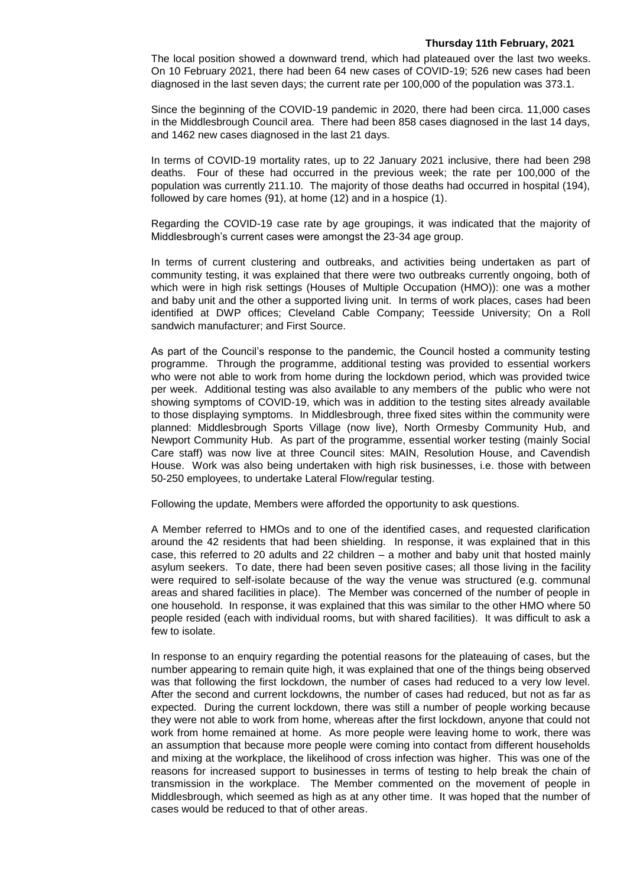The local position showed a downward trend, which had plateaued over the last two weeks. On 10 February 2021, there had been 64 new cases of COVID-19; 526 new cases had been diagnosed in the last seven days; the current rate per 100,000 of the population was 373.1.

Since the beginning of the COVID-19 pandemic in 2020, there had been circa. 11,000 cases in the Middlesbrough Council area. There had been 858 cases diagnosed in the last 14 days, and 1462 new cases diagnosed in the last 21 days.

In terms of COVID-19 mortality rates, up to 22 January 2021 inclusive, there had been 298 deaths. Four of these had occurred in the previous week; the rate per 100,000 of the population was currently 211.10. The majority of those deaths had occurred in hospital (194), followed by care homes (91), at home (12) and in a hospice (1).

Regarding the COVID-19 case rate by age groupings, it was indicated that the majority of Middlesbrough's current cases were amongst the 23-34 age group.

In terms of current clustering and outbreaks, and activities being undertaken as part of community testing, it was explained that there were two outbreaks currently ongoing, both of which were in high risk settings (Houses of Multiple Occupation (HMO)): one was a mother and baby unit and the other a supported living unit. In terms of work places, cases had been identified at DWP offices; Cleveland Cable Company; Teesside University; On a Roll sandwich manufacturer; and First Source.

As part of the Council's response to the pandemic, the Council hosted a community testing programme. Through the programme, additional testing was provided to essential workers who were not able to work from home during the lockdown period, which was provided twice per week. Additional testing was also available to any members of the public who were not showing symptoms of COVID-19, which was in addition to the testing sites already available to those displaying symptoms. In Middlesbrough, three fixed sites within the community were planned: Middlesbrough Sports Village (now live), North Ormesby Community Hub, and Newport Community Hub. As part of the programme, essential worker testing (mainly Social Care staff) was now live at three Council sites: MAIN, Resolution House, and Cavendish House. Work was also being undertaken with high risk businesses, i.e. those with between 50-250 employees, to undertake Lateral Flow/regular testing.

Following the update, Members were afforded the opportunity to ask questions.

A Member referred to HMOs and to one of the identified cases, and requested clarification around the 42 residents that had been shielding. In response, it was explained that in this case, this referred to 20 adults and 22 children – a mother and baby unit that hosted mainly asylum seekers. To date, there had been seven positive cases; all those living in the facility were required to self-isolate because of the way the venue was structured (e.g. communal areas and shared facilities in place). The Member was concerned of the number of people in one household. In response, it was explained that this was similar to the other HMO where 50 people resided (each with individual rooms, but with shared facilities). It was difficult to ask a few to isolate.

In response to an enquiry regarding the potential reasons for the plateauing of cases, but the number appearing to remain quite high, it was explained that one of the things being observed was that following the first lockdown, the number of cases had reduced to a very low level. After the second and current lockdowns, the number of cases had reduced, but not as far as expected. During the current lockdown, there was still a number of people working because they were not able to work from home, whereas after the first lockdown, anyone that could not work from home remained at home. As more people were leaving home to work, there was an assumption that because more people were coming into contact from different households and mixing at the workplace, the likelihood of cross infection was higher. This was one of the reasons for increased support to businesses in terms of testing to help break the chain of transmission in the workplace. The Member commented on the movement of people in Middlesbrough, which seemed as high as at any other time. It was hoped that the number of cases would be reduced to that of other areas.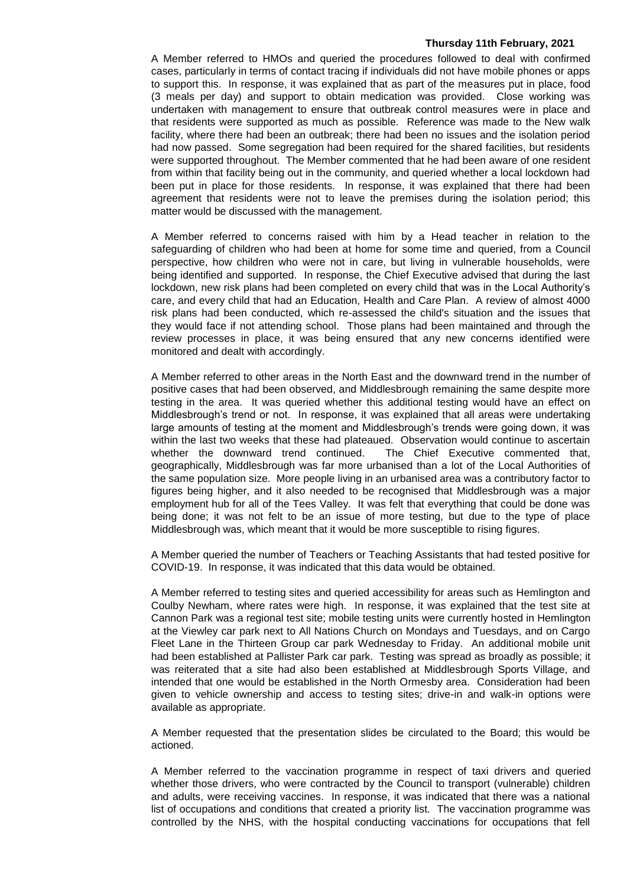A Member referred to HMOs and queried the procedures followed to deal with confirmed cases, particularly in terms of contact tracing if individuals did not have mobile phones or apps to support this. In response, it was explained that as part of the measures put in place, food (3 meals per day) and support to obtain medication was provided. Close working was undertaken with management to ensure that outbreak control measures were in place and that residents were supported as much as possible. Reference was made to the New walk facility, where there had been an outbreak; there had been no issues and the isolation period had now passed. Some segregation had been required for the shared facilities, but residents were supported throughout. The Member commented that he had been aware of one resident from within that facility being out in the community, and queried whether a local lockdown had been put in place for those residents. In response, it was explained that there had been agreement that residents were not to leave the premises during the isolation period; this matter would be discussed with the management.

A Member referred to concerns raised with him by a Head teacher in relation to the safeguarding of children who had been at home for some time and queried, from a Council perspective, how children who were not in care, but living in vulnerable households, were being identified and supported. In response, the Chief Executive advised that during the last lockdown, new risk plans had been completed on every child that was in the Local Authority's care, and every child that had an Education, Health and Care Plan. A review of almost 4000 risk plans had been conducted, which re-assessed the child's situation and the issues that they would face if not attending school. Those plans had been maintained and through the review processes in place, it was being ensured that any new concerns identified were monitored and dealt with accordingly.

A Member referred to other areas in the North East and the downward trend in the number of positive cases that had been observed, and Middlesbrough remaining the same despite more testing in the area. It was queried whether this additional testing would have an effect on Middlesbrough's trend or not. In response, it was explained that all areas were undertaking large amounts of testing at the moment and Middlesbrough's trends were going down, it was within the last two weeks that these had plateaued. Observation would continue to ascertain whether the downward trend continued. The Chief Executive commented that, geographically, Middlesbrough was far more urbanised than a lot of the Local Authorities of the same population size. More people living in an urbanised area was a contributory factor to figures being higher, and it also needed to be recognised that Middlesbrough was a major employment hub for all of the Tees Valley. It was felt that everything that could be done was being done; it was not felt to be an issue of more testing, but due to the type of place Middlesbrough was, which meant that it would be more susceptible to rising figures.

A Member queried the number of Teachers or Teaching Assistants that had tested positive for COVID-19. In response, it was indicated that this data would be obtained.

A Member referred to testing sites and queried accessibility for areas such as Hemlington and Coulby Newham, where rates were high. In response, it was explained that the test site at Cannon Park was a regional test site; mobile testing units were currently hosted in Hemlington at the Viewley car park next to All Nations Church on Mondays and Tuesdays, and on Cargo Fleet Lane in the Thirteen Group car park Wednesday to Friday. An additional mobile unit had been established at Pallister Park car park. Testing was spread as broadly as possible; it was reiterated that a site had also been established at Middlesbrough Sports Village, and intended that one would be established in the North Ormesby area. Consideration had been given to vehicle ownership and access to testing sites; drive-in and walk-in options were available as appropriate.

A Member requested that the presentation slides be circulated to the Board; this would be actioned.

A Member referred to the vaccination programme in respect of taxi drivers and queried whether those drivers, who were contracted by the Council to transport (vulnerable) children and adults, were receiving vaccines. In response, it was indicated that there was a national list of occupations and conditions that created a priority list. The vaccination programme was controlled by the NHS, with the hospital conducting vaccinations for occupations that fell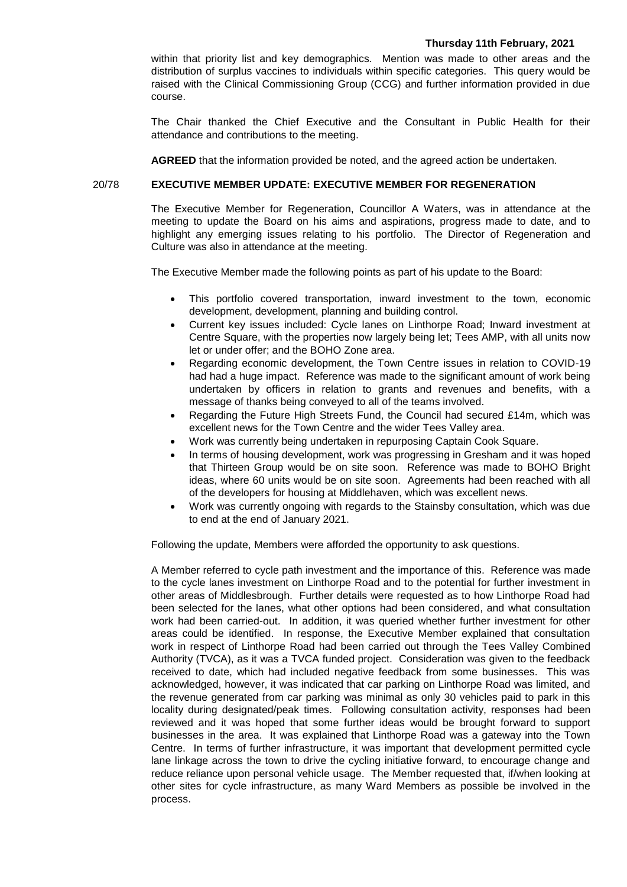within that priority list and key demographics. Mention was made to other areas and the distribution of surplus vaccines to individuals within specific categories. This query would be raised with the Clinical Commissioning Group (CCG) and further information provided in due course.

The Chair thanked the Chief Executive and the Consultant in Public Health for their attendance and contributions to the meeting.

**AGREED** that the information provided be noted, and the agreed action be undertaken.

## 20/78 **EXECUTIVE MEMBER UPDATE: EXECUTIVE MEMBER FOR REGENERATION**

The Executive Member for Regeneration, Councillor A Waters, was in attendance at the meeting to update the Board on his aims and aspirations, progress made to date, and to highlight any emerging issues relating to his portfolio. The Director of Regeneration and Culture was also in attendance at the meeting.

The Executive Member made the following points as part of his update to the Board:

- This portfolio covered transportation, inward investment to the town, economic development, development, planning and building control.
- Current key issues included: Cycle lanes on Linthorpe Road; Inward investment at Centre Square, with the properties now largely being let; Tees AMP, with all units now let or under offer; and the BOHO Zone area.
- Regarding economic development, the Town Centre issues in relation to COVID-19 had had a huge impact. Reference was made to the significant amount of work being undertaken by officers in relation to grants and revenues and benefits, with a message of thanks being conveyed to all of the teams involved.
- Regarding the Future High Streets Fund, the Council had secured £14m, which was excellent news for the Town Centre and the wider Tees Valley area.
- Work was currently being undertaken in repurposing Captain Cook Square.
- In terms of housing development, work was progressing in Gresham and it was hoped that Thirteen Group would be on site soon. Reference was made to BOHO Bright ideas, where 60 units would be on site soon. Agreements had been reached with all of the developers for housing at Middlehaven, which was excellent news.
- Work was currently ongoing with regards to the Stainsby consultation, which was due to end at the end of January 2021.

Following the update, Members were afforded the opportunity to ask questions.

A Member referred to cycle path investment and the importance of this. Reference was made to the cycle lanes investment on Linthorpe Road and to the potential for further investment in other areas of Middlesbrough. Further details were requested as to how Linthorpe Road had been selected for the lanes, what other options had been considered, and what consultation work had been carried-out. In addition, it was queried whether further investment for other areas could be identified. In response, the Executive Member explained that consultation work in respect of Linthorpe Road had been carried out through the Tees Valley Combined Authority (TVCA), as it was a TVCA funded project. Consideration was given to the feedback received to date, which had included negative feedback from some businesses. This was acknowledged, however, it was indicated that car parking on Linthorpe Road was limited, and the revenue generated from car parking was minimal as only 30 vehicles paid to park in this locality during designated/peak times. Following consultation activity, responses had been reviewed and it was hoped that some further ideas would be brought forward to support businesses in the area. It was explained that Linthorpe Road was a gateway into the Town Centre. In terms of further infrastructure, it was important that development permitted cycle lane linkage across the town to drive the cycling initiative forward, to encourage change and reduce reliance upon personal vehicle usage. The Member requested that, if/when looking at other sites for cycle infrastructure, as many Ward Members as possible be involved in the process.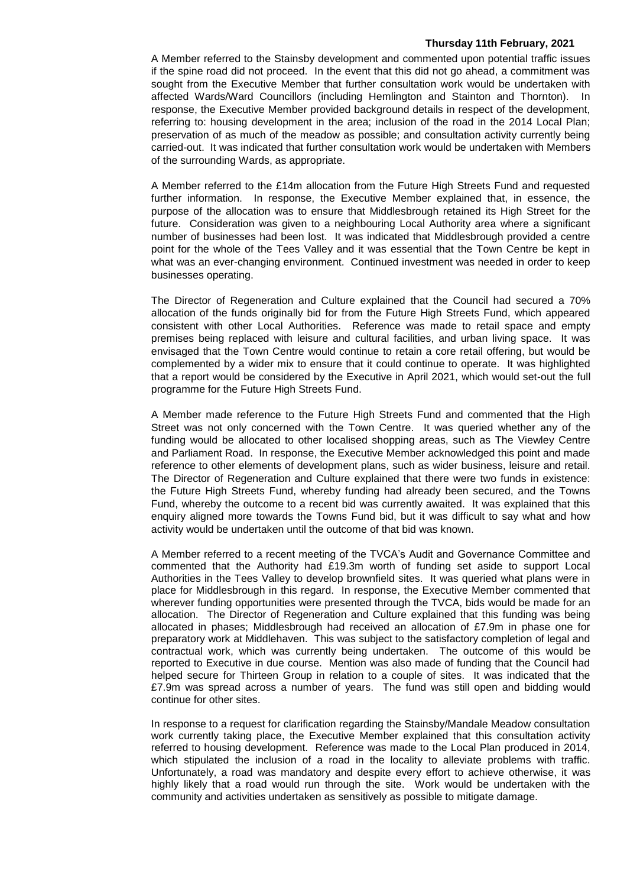A Member referred to the Stainsby development and commented upon potential traffic issues if the spine road did not proceed. In the event that this did not go ahead, a commitment was sought from the Executive Member that further consultation work would be undertaken with affected Wards/Ward Councillors (including Hemlington and Stainton and Thornton). In response, the Executive Member provided background details in respect of the development, referring to: housing development in the area; inclusion of the road in the 2014 Local Plan; preservation of as much of the meadow as possible; and consultation activity currently being carried-out. It was indicated that further consultation work would be undertaken with Members of the surrounding Wards, as appropriate.

A Member referred to the £14m allocation from the Future High Streets Fund and requested further information. In response, the Executive Member explained that, in essence, the purpose of the allocation was to ensure that Middlesbrough retained its High Street for the future. Consideration was given to a neighbouring Local Authority area where a significant number of businesses had been lost. It was indicated that Middlesbrough provided a centre point for the whole of the Tees Valley and it was essential that the Town Centre be kept in what was an ever-changing environment. Continued investment was needed in order to keep businesses operating.

The Director of Regeneration and Culture explained that the Council had secured a 70% allocation of the funds originally bid for from the Future High Streets Fund, which appeared consistent with other Local Authorities. Reference was made to retail space and empty premises being replaced with leisure and cultural facilities, and urban living space. It was envisaged that the Town Centre would continue to retain a core retail offering, but would be complemented by a wider mix to ensure that it could continue to operate. It was highlighted that a report would be considered by the Executive in April 2021, which would set-out the full programme for the Future High Streets Fund.

A Member made reference to the Future High Streets Fund and commented that the High Street was not only concerned with the Town Centre. It was queried whether any of the funding would be allocated to other localised shopping areas, such as The Viewley Centre and Parliament Road. In response, the Executive Member acknowledged this point and made reference to other elements of development plans, such as wider business, leisure and retail. The Director of Regeneration and Culture explained that there were two funds in existence: the Future High Streets Fund, whereby funding had already been secured, and the Towns Fund, whereby the outcome to a recent bid was currently awaited. It was explained that this enquiry aligned more towards the Towns Fund bid, but it was difficult to say what and how activity would be undertaken until the outcome of that bid was known.

A Member referred to a recent meeting of the TVCA's Audit and Governance Committee and commented that the Authority had £19.3m worth of funding set aside to support Local Authorities in the Tees Valley to develop brownfield sites. It was queried what plans were in place for Middlesbrough in this regard. In response, the Executive Member commented that wherever funding opportunities were presented through the TVCA, bids would be made for an allocation. The Director of Regeneration and Culture explained that this funding was being allocated in phases; Middlesbrough had received an allocation of £7.9m in phase one for preparatory work at Middlehaven. This was subject to the satisfactory completion of legal and contractual work, which was currently being undertaken. The outcome of this would be reported to Executive in due course. Mention was also made of funding that the Council had helped secure for Thirteen Group in relation to a couple of sites. It was indicated that the £7.9m was spread across a number of years. The fund was still open and bidding would continue for other sites.

In response to a request for clarification regarding the Stainsby/Mandale Meadow consultation work currently taking place, the Executive Member explained that this consultation activity referred to housing development. Reference was made to the Local Plan produced in 2014, which stipulated the inclusion of a road in the locality to alleviate problems with traffic. Unfortunately, a road was mandatory and despite every effort to achieve otherwise, it was highly likely that a road would run through the site. Work would be undertaken with the community and activities undertaken as sensitively as possible to mitigate damage.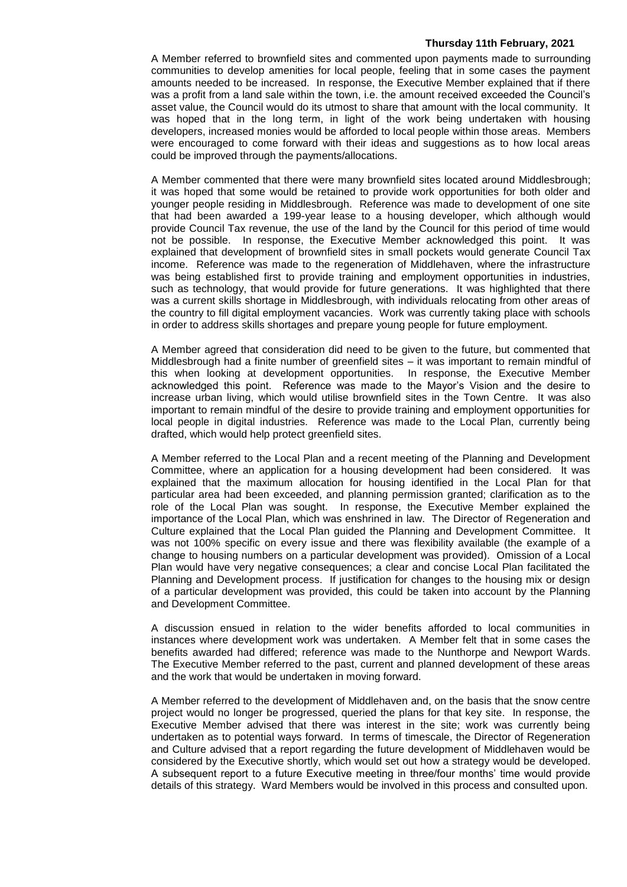A Member referred to brownfield sites and commented upon payments made to surrounding communities to develop amenities for local people, feeling that in some cases the payment amounts needed to be increased. In response, the Executive Member explained that if there was a profit from a land sale within the town, i.e. the amount received exceeded the Council's asset value, the Council would do its utmost to share that amount with the local community. It was hoped that in the long term, in light of the work being undertaken with housing developers, increased monies would be afforded to local people within those areas. Members were encouraged to come forward with their ideas and suggestions as to how local areas could be improved through the payments/allocations.

A Member commented that there were many brownfield sites located around Middlesbrough; it was hoped that some would be retained to provide work opportunities for both older and younger people residing in Middlesbrough. Reference was made to development of one site that had been awarded a 199-year lease to a housing developer, which although would provide Council Tax revenue, the use of the land by the Council for this period of time would not be possible. In response, the Executive Member acknowledged this point. It was explained that development of brownfield sites in small pockets would generate Council Tax income. Reference was made to the regeneration of Middlehaven, where the infrastructure was being established first to provide training and employment opportunities in industries, such as technology, that would provide for future generations. It was highlighted that there was a current skills shortage in Middlesbrough, with individuals relocating from other areas of the country to fill digital employment vacancies. Work was currently taking place with schools in order to address skills shortages and prepare young people for future employment.

A Member agreed that consideration did need to be given to the future, but commented that Middlesbrough had a finite number of greenfield sites – it was important to remain mindful of this when looking at development opportunities. In response, the Executive Member acknowledged this point. Reference was made to the Mayor's Vision and the desire to increase urban living, which would utilise brownfield sites in the Town Centre. It was also important to remain mindful of the desire to provide training and employment opportunities for local people in digital industries. Reference was made to the Local Plan, currently being drafted, which would help protect greenfield sites.

A Member referred to the Local Plan and a recent meeting of the Planning and Development Committee, where an application for a housing development had been considered. It was explained that the maximum allocation for housing identified in the Local Plan for that particular area had been exceeded, and planning permission granted; clarification as to the role of the Local Plan was sought. In response, the Executive Member explained the importance of the Local Plan, which was enshrined in law. The Director of Regeneration and Culture explained that the Local Plan guided the Planning and Development Committee. It was not 100% specific on every issue and there was flexibility available (the example of a change to housing numbers on a particular development was provided). Omission of a Local Plan would have very negative consequences; a clear and concise Local Plan facilitated the Planning and Development process. If justification for changes to the housing mix or design of a particular development was provided, this could be taken into account by the Planning and Development Committee.

A discussion ensued in relation to the wider benefits afforded to local communities in instances where development work was undertaken. A Member felt that in some cases the benefits awarded had differed; reference was made to the Nunthorpe and Newport Wards. The Executive Member referred to the past, current and planned development of these areas and the work that would be undertaken in moving forward.

A Member referred to the development of Middlehaven and, on the basis that the snow centre project would no longer be progressed, queried the plans for that key site. In response, the Executive Member advised that there was interest in the site; work was currently being undertaken as to potential ways forward. In terms of timescale, the Director of Regeneration and Culture advised that a report regarding the future development of Middlehaven would be considered by the Executive shortly, which would set out how a strategy would be developed. A subsequent report to a future Executive meeting in three/four months' time would provide details of this strategy. Ward Members would be involved in this process and consulted upon.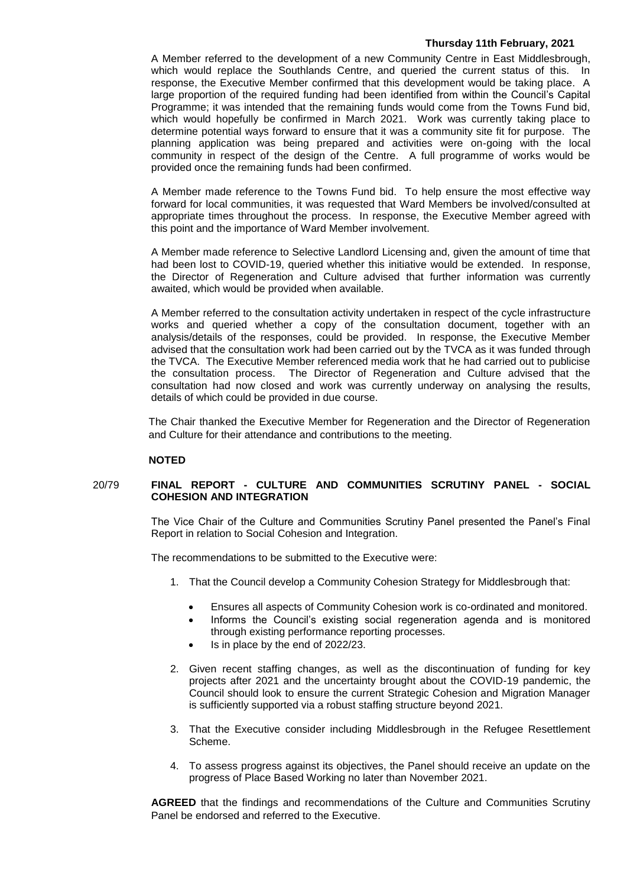A Member referred to the development of a new Community Centre in East Middlesbrough, which would replace the Southlands Centre, and queried the current status of this. In response, the Executive Member confirmed that this development would be taking place. A large proportion of the required funding had been identified from within the Council's Capital Programme; it was intended that the remaining funds would come from the Towns Fund bid, which would hopefully be confirmed in March 2021. Work was currently taking place to determine potential ways forward to ensure that it was a community site fit for purpose. The planning application was being prepared and activities were on-going with the local community in respect of the design of the Centre. A full programme of works would be provided once the remaining funds had been confirmed.

A Member made reference to the Towns Fund bid. To help ensure the most effective way forward for local communities, it was requested that Ward Members be involved/consulted at appropriate times throughout the process. In response, the Executive Member agreed with this point and the importance of Ward Member involvement.

A Member made reference to Selective Landlord Licensing and, given the amount of time that had been lost to COVID-19, queried whether this initiative would be extended. In response, the Director of Regeneration and Culture advised that further information was currently awaited, which would be provided when available.

A Member referred to the consultation activity undertaken in respect of the cycle infrastructure works and queried whether a copy of the consultation document, together with an analysis/details of the responses, could be provided. In response, the Executive Member advised that the consultation work had been carried out by the TVCA as it was funded through the TVCA. The Executive Member referenced media work that he had carried out to publicise the consultation process. The Director of Regeneration and Culture advised that the consultation had now closed and work was currently underway on analysing the results, details of which could be provided in due course.

The Chair thanked the Executive Member for Regeneration and the Director of Regeneration and Culture for their attendance and contributions to the meeting.

# **NOTED**

# 20/79 **FINAL REPORT - CULTURE AND COMMUNITIES SCRUTINY PANEL - SOCIAL COHESION AND INTEGRATION**

The Vice Chair of the Culture and Communities Scrutiny Panel presented the Panel's Final Report in relation to Social Cohesion and Integration.

The recommendations to be submitted to the Executive were:

- 1. That the Council develop a Community Cohesion Strategy for Middlesbrough that:
	- Ensures all aspects of Community Cohesion work is co-ordinated and monitored.
	- Informs the Council's existing social regeneration agenda and is monitored through existing performance reporting processes.
	- Is in place by the end of 2022/23.
- 2. Given recent staffing changes, as well as the discontinuation of funding for key projects after 2021 and the uncertainty brought about the COVID-19 pandemic, the Council should look to ensure the current Strategic Cohesion and Migration Manager is sufficiently supported via a robust staffing structure beyond 2021.
- 3. That the Executive consider including Middlesbrough in the Refugee Resettlement Scheme.
- 4. To assess progress against its objectives, the Panel should receive an update on the progress of Place Based Working no later than November 2021.

**AGREED** that the findings and recommendations of the Culture and Communities Scrutiny Panel be endorsed and referred to the Executive.